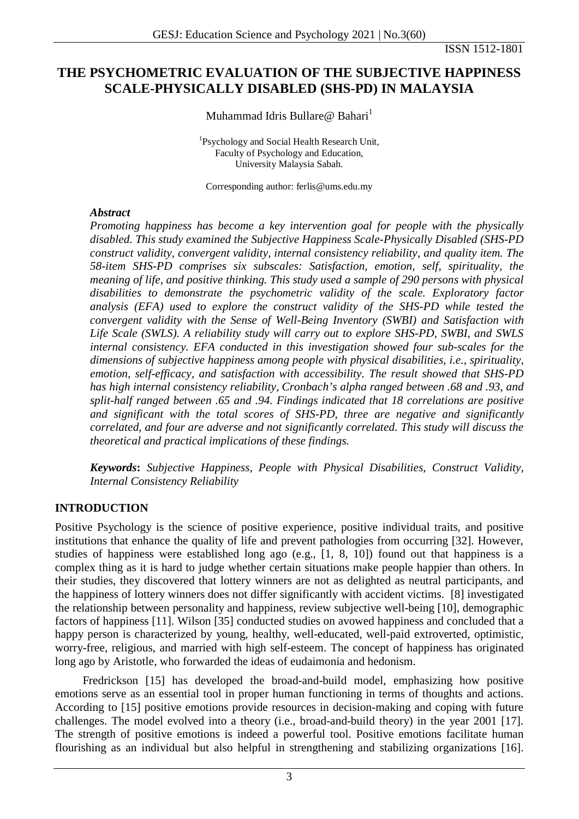# **THE PSYCHOMETRIC EVALUATION OF THE SUBJECTIVE HAPPINESS SCALE-PHYSICALLY DISABLED (SHS-PD) IN MALAYSIA**

Muhammad Idris Bullare@ Bahari<sup>1</sup>

1 Psychology and Social Health Research Unit, Faculty of Psychology and Education, University Malaysia Sabah.

Corresponding author: ferlis@ums.edu.my

## *Abstract*

*Promoting happiness has become a key intervention goal for people with the physically disabled. This study examined the Subjective Happiness Scale-Physically Disabled (SHS-PD construct validity, convergent validity, internal consistency reliability, and quality item. The 58-item SHS-PD comprises six subscales: Satisfaction, emotion, self, spirituality, the meaning of life, and positive thinking. This study used a sample of 290 persons with physical disabilities to demonstrate the psychometric validity of the scale. Exploratory factor analysis (EFA) used to explore the construct validity of the SHS-PD while tested the convergent validity with the Sense of Well-Being Inventory (SWBI) and Satisfaction with Life Scale (SWLS). A reliability study will carry out to explore SHS-PD, SWBI, and SWLS internal consistency. EFA conducted in this investigation showed four sub-scales for the dimensions of subjective happiness among people with physical disabilities, i.e., spirituality, emotion, self-efficacy, and satisfaction with accessibility. The result showed that SHS-PD has high internal consistency reliability, Cronbach's alpha ranged between .68 and .93, and split-half ranged between .65 and .94. Findings indicated that 18 correlations are positive and significant with the total scores of SHS-PD, three are negative and significantly correlated, and four are adverse and not significantly correlated. This study will discuss the theoretical and practical implications of these findings.*

*Keywords***:** *Subjective Happiness, People with Physical Disabilities, Construct Validity, Internal Consistency Reliability*

# **INTRODUCTION**

Positive Psychology is the science of positive experience, positive individual traits, and positive institutions that enhance the quality of life and prevent pathologies from occurring [32]. However, studies of happiness were established long ago (e.g., [1, 8, 10]) found out that happiness is a complex thing as it is hard to judge whether certain situations make people happier than others. In their studies, they discovered that lottery winners are not as delighted as neutral participants, and the happiness of lottery winners does not differ significantly with accident victims. [8] investigated the relationship between personality and happiness, review subjective well-being [10], demographic factors of happiness [11]. Wilson [35] conducted studies on avowed happiness and concluded that a happy person is characterized by young, healthy, well-educated, well-paid extroverted, optimistic, worry-free, religious, and married with high self-esteem. The concept of happiness has originated long ago by Aristotle, who forwarded the ideas of eudaimonia and hedonism.

Fredrickson [15] has developed the broad-and-build model, emphasizing how positive emotions serve as an essential tool in proper human functioning in terms of thoughts and actions. According to [15] positive emotions provide resources in decision-making and coping with future challenges. The model evolved into a theory (i.e., broad-and-build theory) in the year 2001 [17]. The strength of positive emotions is indeed a powerful tool. Positive emotions facilitate human flourishing as an individual but also helpful in strengthening and stabilizing organizations [16].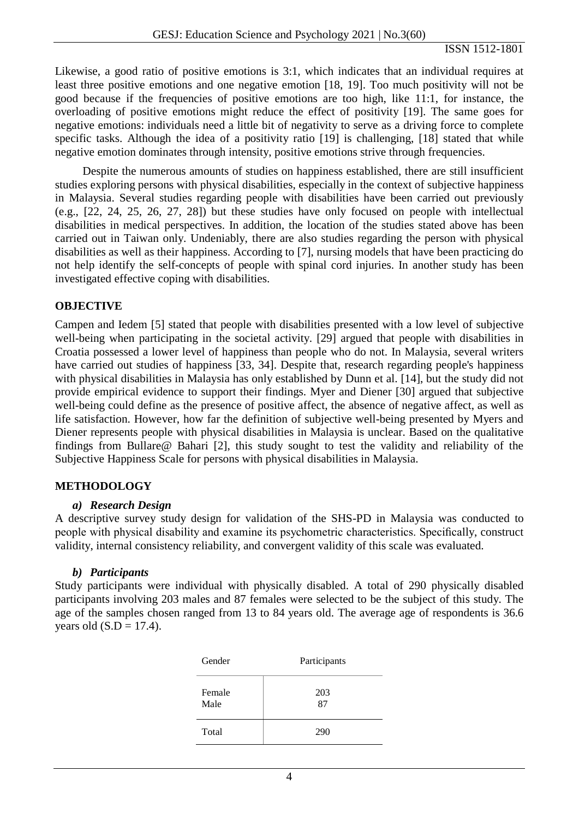Likewise, a good ratio of positive emotions is 3:1, which indicates that an individual requires at least three positive emotions and one negative emotion [18, 19]. Too much positivity will not be good because if the frequencies of positive emotions are too high, like 11:1, for instance, the overloading of positive emotions might reduce the effect of positivity [19]. The same goes for negative emotions: individuals need a little bit of negativity to serve as a driving force to complete specific tasks. Although the idea of a positivity ratio [19] is challenging, [18] stated that while negative emotion dominates through intensity, positive emotions strive through frequencies.

Despite the numerous amounts of studies on happiness established, there are still insufficient studies exploring persons with physical disabilities, especially in the context of subjective happiness in Malaysia. Several studies regarding people with disabilities have been carried out previously (e.g., [22, 24, 25, 26, 27, 28]) but these studies have only focused on people with intellectual disabilities in medical perspectives. In addition, the location of the studies stated above has been carried out in Taiwan only. Undeniably, there are also studies regarding the person with physical disabilities as well as their happiness. According to [7], nursing models that have been practicing do not help identify the self-concepts of people with spinal cord injuries. In another study has been investigated effective coping with disabilities.

# **OBJECTIVE**

Campen and Iedem [5] stated that people with disabilities presented with a low level of subjective well-being when participating in the societal activity. [29] argued that people with disabilities in Croatia possessed a lower level of happiness than people who do not. In Malaysia, several writers have carried out studies of happiness [33, 34]. Despite that, research regarding people's happiness with physical disabilities in Malaysia has only established by Dunn et al. [14], but the study did not provide empirical evidence to support their findings. Myer and Diener [30] argued that subjective well-being could define as the presence of positive affect, the absence of negative affect, as well as life satisfaction. However, how far the definition of subjective well-being presented by Myers and Diener represents people with physical disabilities in Malaysia is unclear. Based on the qualitative findings from Bullare@ Bahari [2], this study sought to test the validity and reliability of the Subjective Happiness Scale for persons with physical disabilities in Malaysia.

## **METHODOLOGY**

## *a) Research Design*

A descriptive survey study design for validation of the SHS-PD in Malaysia was conducted to people with physical disability and examine its psychometric characteristics. Specifically, construct validity, internal consistency reliability, and convergent validity of this scale was evaluated.

## *b) Participants*

Study participants were individual with physically disabled. A total of 290 physically disabled participants involving 203 males and 87 females were selected to be the subject of this study. The age of the samples chosen ranged from 13 to 84 years old. The average age of respondents is 36.6 years old  $(S.D = 17.4)$ .

| Gender         | Participants |
|----------------|--------------|
| Female<br>Male | 203<br>87    |
| Total          | 290          |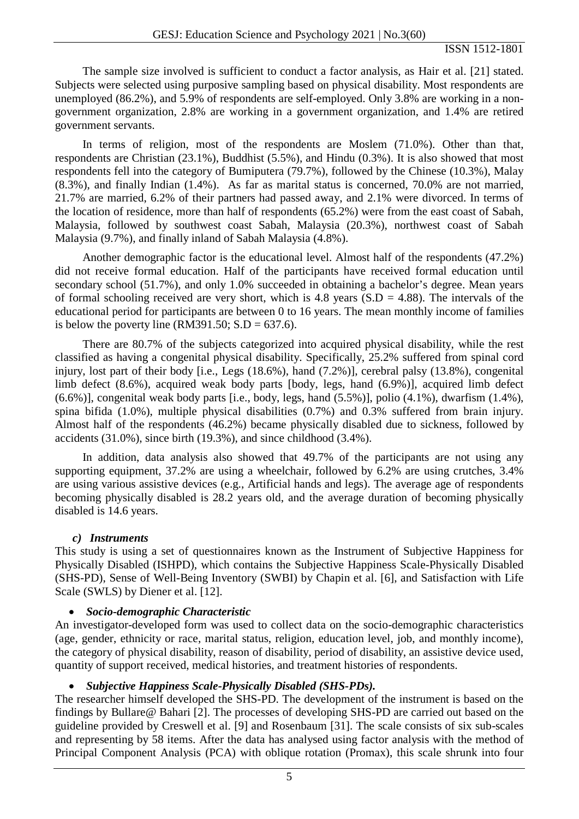The sample size involved is sufficient to conduct a factor analysis, as Hair et al. [21] stated. Subjects were selected using purposive sampling based on physical disability. Most respondents are unemployed (86.2%), and 5.9% of respondents are self-employed. Only 3.8% are working in a nongovernment organization, 2.8% are working in a government organization, and 1.4% are retired government servants.

In terms of religion, most of the respondents are Moslem (71.0%). Other than that, respondents are Christian (23.1%), Buddhist (5.5%), and Hindu (0.3%). It is also showed that most respondents fell into the category of Bumiputera (79.7%), followed by the Chinese (10.3%), Malay (8.3%), and finally Indian (1.4%). As far as marital status is concerned, 70.0% are not married, 21.7% are married, 6.2% of their partners had passed away, and 2.1% were divorced. In terms of the location of residence, more than half of respondents (65.2%) were from the east coast of Sabah, Malaysia, followed by southwest coast Sabah, Malaysia (20.3%), northwest coast of Sabah Malaysia (9.7%), and finally inland of Sabah Malaysia (4.8%).

Another demographic factor is the educational level. Almost half of the respondents (47.2%) did not receive formal education. Half of the participants have received formal education until secondary school (51.7%), and only 1.0% succeeded in obtaining a bachelor's degree. Mean years of formal schooling received are very short, which is 4.8 years  $(S.D = 4.88)$ . The intervals of the educational period for participants are between 0 to 16 years. The mean monthly income of families is below the poverty line (RM391.50;  $S.D = 637.6$ ).

There are 80.7% of the subjects categorized into acquired physical disability, while the rest classified as having a congenital physical disability. Specifically, 25.2% suffered from spinal cord injury, lost part of their body [i.e., Legs (18.6%), hand (7.2%)], cerebral palsy (13.8%), congenital limb defect (8.6%), acquired weak body parts [body, legs, hand (6.9%)], acquired limb defect (6.6%)], congenital weak body parts [i.e., body, legs, hand (5.5%)], polio (4.1%), dwarfism (1.4%), spina bifida (1.0%), multiple physical disabilities (0.7%) and 0.3% suffered from brain injury. Almost half of the respondents (46.2%) became physically disabled due to sickness, followed by accidents (31.0%), since birth (19.3%), and since childhood (3.4%).

In addition, data analysis also showed that 49.7% of the participants are not using any supporting equipment, 37.2% are using a wheelchair, followed by 6.2% are using crutches, 3.4% are using various assistive devices (e.g., Artificial hands and legs). The average age of respondents becoming physically disabled is 28.2 years old, and the average duration of becoming physically disabled is 14.6 years.

## *c) Instruments*

This study is using a set of questionnaires known as the Instrument of Subjective Happiness for Physically Disabled (ISHPD), which contains the Subjective Happiness Scale-Physically Disabled (SHS-PD), Sense of Well-Being Inventory (SWBI) by Chapin et al. [6], and Satisfaction with Life Scale (SWLS) by Diener et al. [12].

## • *Socio-demographic Characteristic*

An investigator-developed form was used to collect data on the socio-demographic characteristics (age, gender, ethnicity or race, marital status, religion, education level, job, and monthly income), the category of physical disability, reason of disability, period of disability, an assistive device used, quantity of support received, medical histories, and treatment histories of respondents.

## • *Subjective Happiness Scale-Physically Disabled (SHS-PDs).*

The researcher himself developed the SHS-PD. The development of the instrument is based on the findings by Bullare@ Bahari [2]. The processes of developing SHS-PD are carried out based on the guideline provided by Creswell et al. [9] and Rosenbaum [31]. The scale consists of six sub-scales and representing by 58 items. After the data has analysed using factor analysis with the method of Principal Component Analysis (PCA) with oblique rotation (Promax), this scale shrunk into four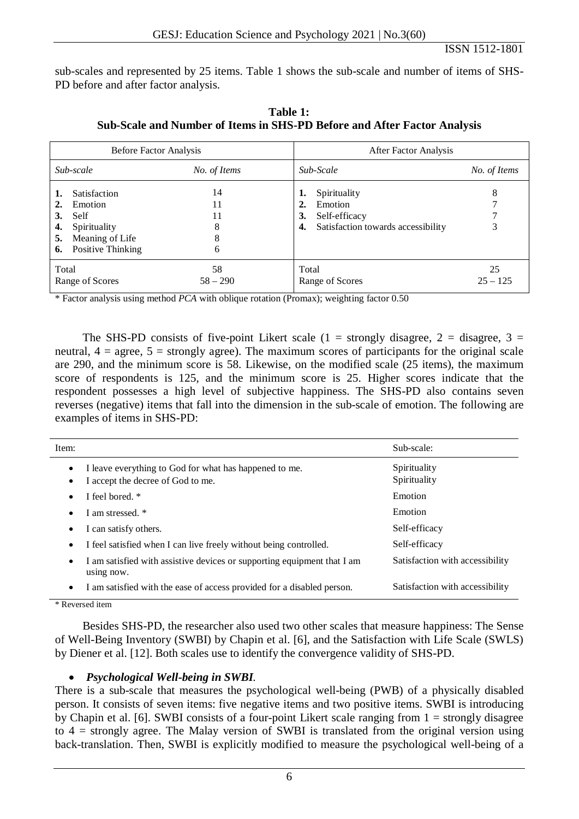sub-scales and represented by 25 items. Table 1 shows the sub-scale and number of items of SHS-PD before and after factor analysis.

| Before Factor Analysis     |                                                                                                |                               | After Factor Analysis                                                                                  |                  |  |  |  |
|----------------------------|------------------------------------------------------------------------------------------------|-------------------------------|--------------------------------------------------------------------------------------------------------|------------------|--|--|--|
|                            | Sub-scale                                                                                      | No. of Items                  | Sub-Scale                                                                                              | No. of Items     |  |  |  |
| 2.<br>3.<br>4.<br>5.<br>6. | Satisfaction<br>Emotion<br>Self<br>Spirituality<br>Meaning of Life<br><b>Positive Thinking</b> | 14<br>11<br>11<br>8<br>8<br>6 | Spirituality<br>ı.<br>Emotion<br>2.<br>Self-efficacy<br>3.<br>Satisfaction towards accessibility<br>4. | 8<br>3           |  |  |  |
| Total                      | Range of Scores                                                                                | 58<br>$58 - 290$              | Total<br>Range of Scores                                                                               | 25<br>$25 - 125$ |  |  |  |

**Table 1: Sub-Scale and Number of Items in SHS-PD Before and After Factor Analysis**

\* Factor analysis using method *PCA* with oblique rotation (Promax); weighting factor 0.50

The SHS-PD consists of five-point Likert scale (1 = strongly disagree, 2 = disagree, 3 = neutral,  $4 = \text{agree}$ ,  $5 = \text{strongly agree}$ ). The maximum scores of participants for the original scale are 290, and the minimum score is 58. Likewise, on the modified scale (25 items), the maximum score of respondents is 125, and the minimum score is 25. Higher scores indicate that the respondent possesses a high level of subjective happiness. The SHS-PD also contains seven reverses (negative) items that fall into the dimension in the sub-scale of emotion. The following are examples of items in SHS-PD:

| Item:                  |                                                                                             | Sub-scale:                      |
|------------------------|---------------------------------------------------------------------------------------------|---------------------------------|
| $\bullet$<br>$\bullet$ | I leave everything to God for what has happened to me.<br>I accept the decree of God to me. | Spirituality<br>Spirituality    |
| $\bullet$              | I feel bored. *                                                                             | Emotion                         |
| $\bullet$              | I am stressed. *                                                                            | Emotion                         |
| $\bullet$              | I can satisfy others.                                                                       | Self-efficacy                   |
| $\bullet$              | I feel satisfied when I can live freely without being controlled.                           | Self-efficacy                   |
| $\bullet$              | I am satisfied with assistive devices or supporting equipment that I am<br>using now.       | Satisfaction with accessibility |
| $\bullet$              | I am satisfied with the ease of access provided for a disabled person.                      | Satisfaction with accessibility |

\* Reversed item

Besides SHS-PD, the researcher also used two other scales that measure happiness: The Sense of Well-Being Inventory (SWBI) by Chapin et al. [6], and the Satisfaction with Life Scale (SWLS) by Diener et al. [12]. Both scales use to identify the convergence validity of SHS-PD.

## • *Psychological Well-being in SWBI.*

There is a sub-scale that measures the psychological well-being (PWB) of a physically disabled person. It consists of seven items: five negative items and two positive items. SWBI is introducing by Chapin et al. [6]. SWBI consists of a four-point Likert scale ranging from 1 = strongly disagree to 4 = strongly agree. The Malay version of SWBI is translated from the original version using back-translation. Then, SWBI is explicitly modified to measure the psychological well-being of a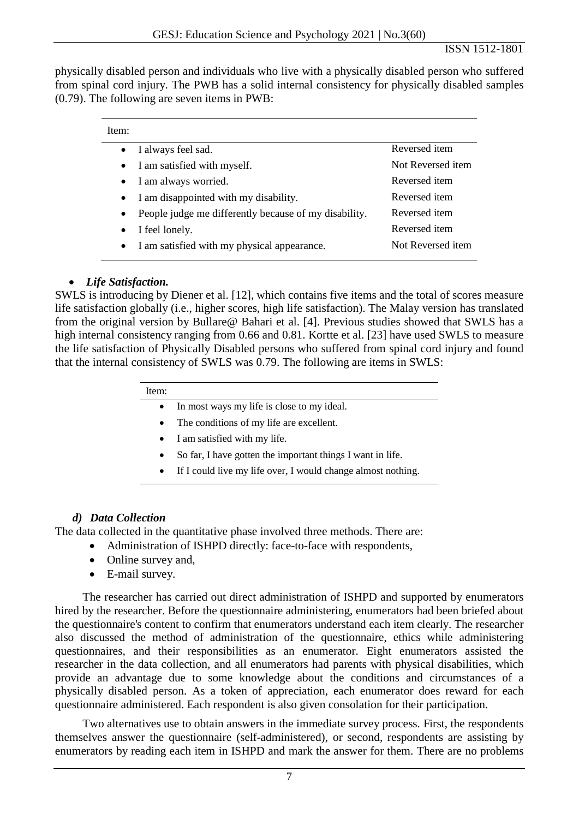physically disabled person and individuals who live with a physically disabled person who suffered from spinal cord injury. The PWB has a solid internal consistency for physically disabled samples (0.79). The following are seven items in PWB:

| Item:     |                                                       |                      |
|-----------|-------------------------------------------------------|----------------------|
| $\bullet$ | I always feel sad.                                    | Reversed item        |
|           | • I am satisfied with myself.                         | Not Reversed item    |
| $\bullet$ | I am always worried.                                  | Reversed item        |
| $\bullet$ | I am disappointed with my disability.                 | Reversed item        |
| $\bullet$ | People judge me differently because of my disability. | Reversed item        |
| $\bullet$ | I feel lonely.                                        | Reversed <i>item</i> |
| $\bullet$ | I am satisfied with my physical appearance.           | Not Reversed item    |

# • *Life Satisfaction.*

SWLS is introducing by Diener et al. [12], which contains five items and the total of scores measure life satisfaction globally (i.e., higher scores, high life satisfaction). The Malay version has translated from the original version by Bullare@ Bahari et al. [4]. Previous studies showed that SWLS has a high internal consistency ranging from 0.66 and 0.81. Kortte et al. [23] have used SWLS to measure the life satisfaction of Physically Disabled persons who suffered from spinal cord injury and found that the internal consistency of SWLS was 0.79. The following are items in SWLS:

- In most ways my life is close to my ideal.
- The conditions of my life are excellent.
- I am satisfied with my life.
- So far, I have gotten the important things I want in life.
- If I could live my life over, I would change almost nothing.

# *d) Data Collection*

The data collected in the quantitative phase involved three methods. There are:

- Administration of ISHPD directly: face-to-face with respondents,
- Online survey and,
- E-mail survey.

The researcher has carried out direct administration of ISHPD and supported by enumerators hired by the researcher. Before the questionnaire administering, enumerators had been briefed about the questionnaire's content to confirm that enumerators understand each item clearly. The researcher also discussed the method of administration of the questionnaire, ethics while administering questionnaires, and their responsibilities as an enumerator. Eight enumerators assisted the researcher in the data collection, and all enumerators had parents with physical disabilities, which provide an advantage due to some knowledge about the conditions and circumstances of a physically disabled person. As a token of appreciation, each enumerator does reward for each questionnaire administered. Each respondent is also given consolation for their participation.

Two alternatives use to obtain answers in the immediate survey process. First, the respondents themselves answer the questionnaire (self-administered), or second, respondents are assisting by enumerators by reading each item in ISHPD and mark the answer for them. There are no problems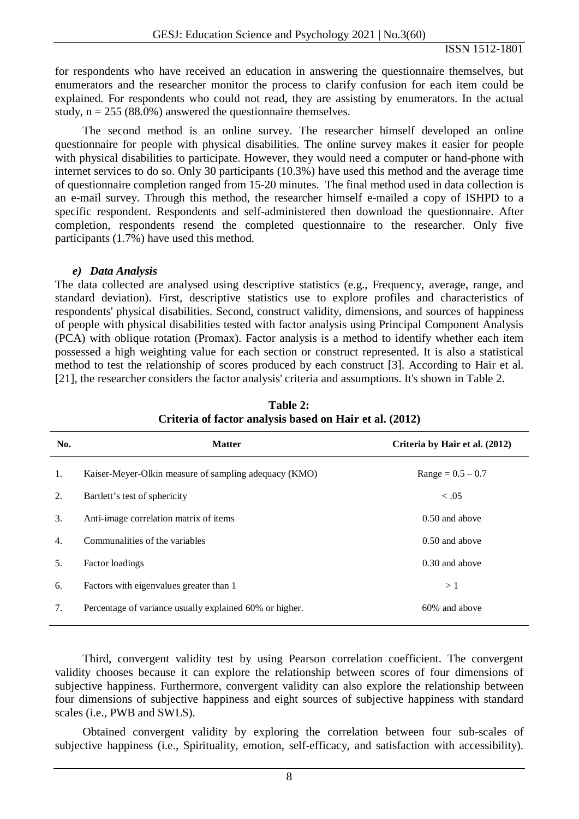for respondents who have received an education in answering the questionnaire themselves, but enumerators and the researcher monitor the process to clarify confusion for each item could be explained. For respondents who could not read, they are assisting by enumerators. In the actual study,  $n = 255 (88.0%)$  answered the questionnaire themselves.

The second method is an online survey. The researcher himself developed an online questionnaire for people with physical disabilities. The online survey makes it easier for people with physical disabilities to participate. However, they would need a computer or hand-phone with internet services to do so. Only 30 participants (10.3%) have used this method and the average time of questionnaire completion ranged from 15-20 minutes. The final method used in data collection is an e-mail survey. Through this method, the researcher himself e-mailed a copy of ISHPD to a specific respondent. Respondents and self-administered then download the questionnaire. After completion, respondents resend the completed questionnaire to the researcher. Only five participants (1.7%) have used this method.

#### *e) Data Analysis*

The data collected are analysed using descriptive statistics (e.g., Frequency, average, range, and standard deviation). First, descriptive statistics use to explore profiles and characteristics of respondents' physical disabilities. Second, construct validity, dimensions, and sources of happiness of people with physical disabilities tested with factor analysis using Principal Component Analysis (PCA) with oblique rotation (Promax). Factor analysis is a method to identify whether each item possessed a high weighting value for each section or construct represented. It is also a statistical method to test the relationship of scores produced by each construct [3]. According to Hair et al. [21], the researcher considers the factor analysis' criteria and assumptions. It's shown in Table 2.

| No. | <b>Matter</b>                                           | Criteria by Hair et al. (2012) |
|-----|---------------------------------------------------------|--------------------------------|
| 1.  | Kaiser-Meyer-Olkin measure of sampling adequacy (KMO)   | $Range = 0.5 - 0.7$            |
| 2.  | Bartlett's test of sphericity                           | < 0.05                         |
| 3.  | Anti-image correlation matrix of items                  | $0.50$ and above               |
| 4.  | Communalities of the variables                          | $0.50$ and above               |
| .5. | Factor loadings                                         | $0.30$ and above               |
| 6.  | Factors with eigenvalues greater than 1                 | >1                             |
| 7.  | Percentage of variance usually explained 60% or higher. | 60% and above                  |

**Table 2: Criteria of factor analysis based on Hair et al. (2012)**

Third, convergent validity test by using Pearson correlation coefficient. The convergent validity chooses because it can explore the relationship between scores of four dimensions of subjective happiness. Furthermore, convergent validity can also explore the relationship between four dimensions of subjective happiness and eight sources of subjective happiness with standard scales (i.e., PWB and SWLS).

Obtained convergent validity by exploring the correlation between four sub-scales of subjective happiness (i.e., Spirituality, emotion, self-efficacy, and satisfaction with accessibility).

8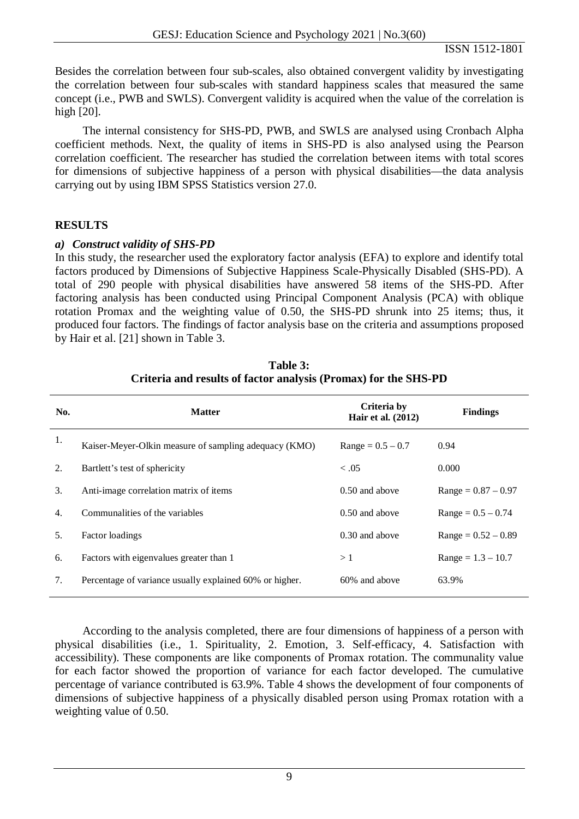Besides the correlation between four sub-scales, also obtained convergent validity by investigating the correlation between four sub-scales with standard happiness scales that measured the same concept (i.e., PWB and SWLS). Convergent validity is acquired when the value of the correlation is high [20].

The internal consistency for SHS-PD, PWB, and SWLS are analysed using Cronbach Alpha coefficient methods. Next, the quality of items in SHS-PD is also analysed using the Pearson correlation coefficient. The researcher has studied the correlation between items with total scores for dimensions of subjective happiness of a person with physical disabilities—the data analysis carrying out by using IBM SPSS Statistics version 27.0.

# **RESULTS**

# *a) Construct validity of SHS-PD*

In this study, the researcher used the exploratory factor analysis (EFA) to explore and identify total factors produced by Dimensions of Subjective Happiness Scale-Physically Disabled (SHS-PD). A total of 290 people with physical disabilities have answered 58 items of the SHS-PD. After factoring analysis has been conducted using Principal Component Analysis (PCA) with oblique rotation Promax and the weighting value of 0.50, the SHS-PD shrunk into 25 items; thus, it produced four factors. The findings of factor analysis base on the criteria and assumptions proposed by Hair et al. [21] shown in Table 3.

| No. | <b>Matter</b>                                           | Criteria by<br><b>Hair et al.</b> (2012) | <b>Findings</b>       |
|-----|---------------------------------------------------------|------------------------------------------|-----------------------|
| 1.  | Kaiser-Meyer-Olkin measure of sampling adequacy (KMO)   | $Range = 0.5 - 0.7$                      | 0.94                  |
| 2.  | Bartlett's test of sphericity                           | < .05                                    | 0.000                 |
| 3.  | Anti-image correlation matrix of items                  | $0.50$ and above                         | $Range = 0.87 - 0.97$ |
| 4.  | Communalities of the variables                          | $0.50$ and above                         | $Range = 0.5 - 0.74$  |
| 5.  | Factor loadings                                         | 0.30 and above                           | $Range = 0.52 - 0.89$ |
| 6.  | Factors with eigenvalues greater than 1                 | >1                                       | $Range = 1.3 - 10.7$  |
| 7.  | Percentage of variance usually explained 60% or higher. | 60% and above                            | 63.9%                 |

**Table 3: Criteria and results of factor analysis (Promax) for the SHS-PD**

According to the analysis completed, there are four dimensions of happiness of a person with physical disabilities (i.e., 1. Spirituality, 2. Emotion, 3. Self-efficacy, 4. Satisfaction with accessibility). These components are like components of Promax rotation. The communality value for each factor showed the proportion of variance for each factor developed. The cumulative percentage of variance contributed is 63.9%. Table 4 shows the development of four components of dimensions of subjective happiness of a physically disabled person using Promax rotation with a weighting value of 0.50.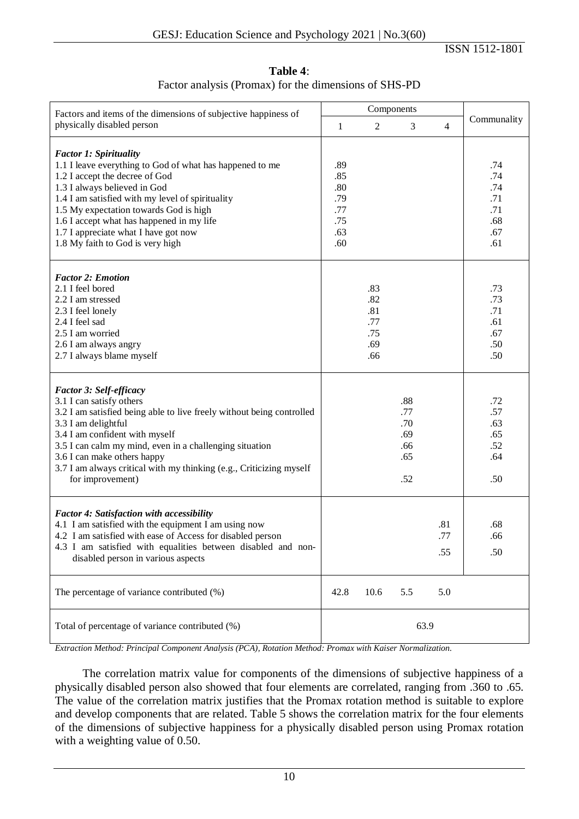| Table 4:                                              |
|-------------------------------------------------------|
| Factor analysis (Promax) for the dimensions of SHS-PD |

| Factors and items of the dimensions of subjective happiness of                                                                                                                                                                                                                                                                                                                     |                                                      | Components                                    |                                               |                   |                                                      |
|------------------------------------------------------------------------------------------------------------------------------------------------------------------------------------------------------------------------------------------------------------------------------------------------------------------------------------------------------------------------------------|------------------------------------------------------|-----------------------------------------------|-----------------------------------------------|-------------------|------------------------------------------------------|
| physically disabled person                                                                                                                                                                                                                                                                                                                                                         | 1                                                    | $\overline{2}$                                | 3                                             | $\overline{4}$    | Communality                                          |
| <b>Factor 1: Spirituality</b><br>1.1 I leave everything to God of what has happened to me<br>1.2 I accept the decree of God<br>1.3 I always believed in God<br>1.4 I am satisfied with my level of spirituality<br>1.5 My expectation towards God is high<br>1.6 I accept what has happened in my life<br>1.7 I appreciate what I have got now<br>1.8 My faith to God is very high | .89<br>.85<br>.80<br>.79<br>.77<br>.75<br>.63<br>.60 |                                               |                                               |                   | .74<br>.74<br>.74<br>.71<br>.71<br>.68<br>.67<br>.61 |
| <b>Factor 2: Emotion</b><br>2.1 I feel bored<br>2.2 I am stressed<br>2.3 I feel lonely<br>2.4 I feel sad<br>2.5 I am worried<br>2.6 I am always angry<br>2.7 I always blame myself                                                                                                                                                                                                 |                                                      | .83<br>.82<br>.81<br>.77<br>.75<br>.69<br>.66 |                                               |                   | .73<br>.73<br>.71<br>.61<br>.67<br>.50<br>.50        |
| <b>Factor 3: Self-efficacy</b><br>3.1 I can satisfy others<br>3.2 I am satisfied being able to live freely without being controlled<br>3.3 I am delightful<br>3.4 I am confident with myself<br>3.5 I can calm my mind, even in a challenging situation<br>3.6 I can make others happy<br>3.7 I am always critical with my thinking (e.g., Criticizing myself<br>for improvement)  |                                                      |                                               | .88<br>.77<br>.70<br>.69<br>.66<br>.65<br>.52 |                   | .72<br>.57<br>.63<br>.65<br>.52<br>.64<br>.50        |
| <b>Factor 4: Satisfaction with accessibility</b><br>4.1 I am satisfied with the equipment I am using now<br>4.2 I am satisfied with ease of Access for disabled person<br>4.3 I am satisfied with equalities between disabled and non-<br>disabled person in various aspects                                                                                                       |                                                      |                                               |                                               | .81<br>.77<br>.55 | .68<br>.66<br>.50                                    |
| The percentage of variance contributed (%)                                                                                                                                                                                                                                                                                                                                         | 42.8                                                 | 10.6                                          | 5.5                                           | 5.0               |                                                      |
| Total of percentage of variance contributed (%)                                                                                                                                                                                                                                                                                                                                    |                                                      |                                               | 63.9                                          |                   |                                                      |

*Extraction Method: Principal Component Analysis (PCA), Rotation Method: Promax with Kaiser Normalization.*

The correlation matrix value for components of the dimensions of subjective happiness of a physically disabled person also showed that four elements are correlated, ranging from .360 to .65. The value of the correlation matrix justifies that the Promax rotation method is suitable to explore and develop components that are related. Table 5 shows the correlation matrix for the four elements of the dimensions of subjective happiness for a physically disabled person using Promax rotation with a weighting value of 0.50.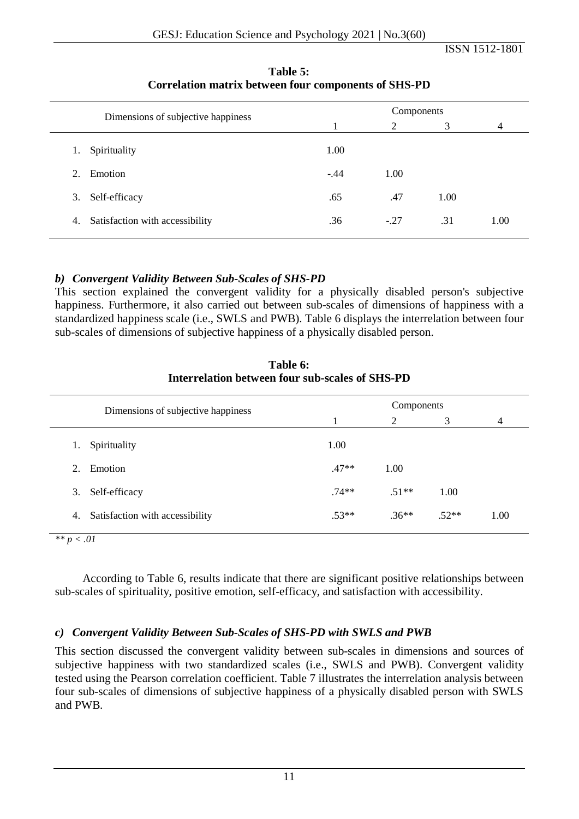| Dimensions of subjective happiness |                                 | Components |        |      |                |
|------------------------------------|---------------------------------|------------|--------|------|----------------|
|                                    |                                 |            | 2      | 3    | $\overline{4}$ |
| Spirituality<br>1.                 |                                 | 1.00       |        |      |                |
| Emotion<br>2.                      |                                 | $-.44$     | 1.00   |      |                |
| Self-efficacy<br>3.                |                                 | .65        | .47    | 1.00 |                |
| 4.                                 | Satisfaction with accessibility | .36        | $-.27$ | .31  | 1.00           |

**Table 5: Correlation matrix between four components of SHS-PD**

# *b) Convergent Validity Between Sub-Scales of SHS-PD*

This section explained the convergent validity for a physically disabled person's subjective happiness. Furthermore, it also carried out between sub-scales of dimensions of happiness with a standardized happiness scale (i.e., SWLS and PWB). Table 6 displays the interrelation between four sub-scales of dimensions of subjective happiness of a physically disabled person.

| Dimensions of subjective happiness    |         |                |         |      |
|---------------------------------------|---------|----------------|---------|------|
|                                       |         | $\overline{2}$ | 3       | 4    |
| Spirituality<br>1.                    | 1.00    |                |         |      |
| Emotion<br>2.                         | $.47**$ | 1.00           |         |      |
| Self-efficacy<br>3.                   | $.74**$ | $.51**$        | 1.00    |      |
| Satisfaction with accessibility<br>4. | $.53**$ | $.36**$        | $.52**$ | 1.00 |

**Table 6: Interrelation between four sub-scales of SHS-PD**

*\*\* p < .01*

According to Table 6, results indicate that there are significant positive relationships between sub-scales of spirituality, positive emotion, self-efficacy, and satisfaction with accessibility.

# *c) Convergent Validity Between Sub-Scales of SHS-PD with SWLS and PWB*

This section discussed the convergent validity between sub-scales in dimensions and sources of subjective happiness with two standardized scales (i.e., SWLS and PWB). Convergent validity tested using the Pearson correlation coefficient. Table 7 illustrates the interrelation analysis between four sub-scales of dimensions of subjective happiness of a physically disabled person with SWLS and PWB.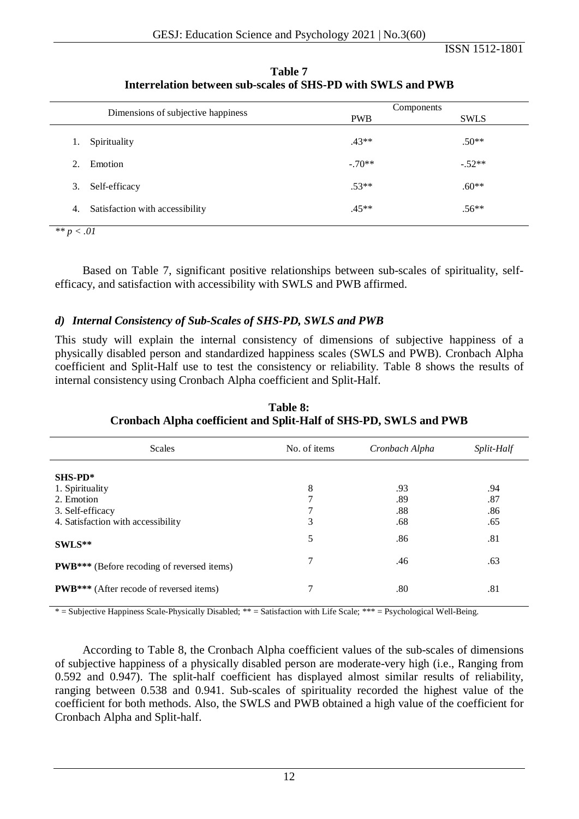|    |                                    | Components |             |
|----|------------------------------------|------------|-------------|
|    | Dimensions of subjective happiness | <b>PWB</b> | <b>SWLS</b> |
| I. | Spirituality                       | $.43**$    | $.50**$     |
| 2. | Emotion                            | $-.70**$   | $-.52**$    |
| 3. | Self-efficacy                      | $.53**$    | $.60**$     |
| 4. | Satisfaction with accessibility    | $.45**$    | $.56**$     |

**Table 7 Interrelation between sub-scales of SHS-PD with SWLS and PWB**

*\*\* p < .01*

Based on Table 7, significant positive relationships between sub-scales of spirituality, selfefficacy, and satisfaction with accessibility with SWLS and PWB affirmed.

# *d) Internal Consistency of Sub-Scales of SHS-PD, SWLS and PWB*

This study will explain the internal consistency of dimensions of subjective happiness of a physically disabled person and standardized happiness scales (SWLS and PWB). Cronbach Alpha coefficient and Split-Half use to test the consistency or reliability. Table 8 shows the results of internal consistency using Cronbach Alpha coefficient and Split-Half.

| <b>Scales</b>                                      | No. of items | Cronbach Alpha | Split-Half |  |
|----------------------------------------------------|--------------|----------------|------------|--|
| $SHS-PD^*$                                         |              |                |            |  |
| 1. Spirituality                                    | 8            | .93            | .94        |  |
| 2. Emotion                                         | ⇁            | .89            | .87        |  |
| 3. Self-efficacy                                   | ┑            | .88            | .86        |  |
| 4. Satisfaction with accessibility                 | 3            | .68            | .65        |  |
| $SWLS**$                                           | 5            | .86            | .81        |  |
| <b>PWB</b> *** (Before recoding of reversed items) | 7            | .46            | .63        |  |
| <b>PWB</b> *** (After recode of reversed items)    | 7            | .80            | .81        |  |

**Table 8: Cronbach Alpha coefficient and Split-Half of SHS-PD, SWLS and PWB**

\* = Subjective Happiness Scale-Physically Disabled; \*\* = Satisfaction with Life Scale; \*\*\* = Psychological Well-Being.

According to Table 8, the Cronbach Alpha coefficient values of the sub-scales of dimensions of subjective happiness of a physically disabled person are moderate-very high (i.e., Ranging from 0.592 and 0.947). The split-half coefficient has displayed almost similar results of reliability, ranging between 0.538 and 0.941. Sub-scales of spirituality recorded the highest value of the coefficient for both methods. Also, the SWLS and PWB obtained a high value of the coefficient for Cronbach Alpha and Split-half.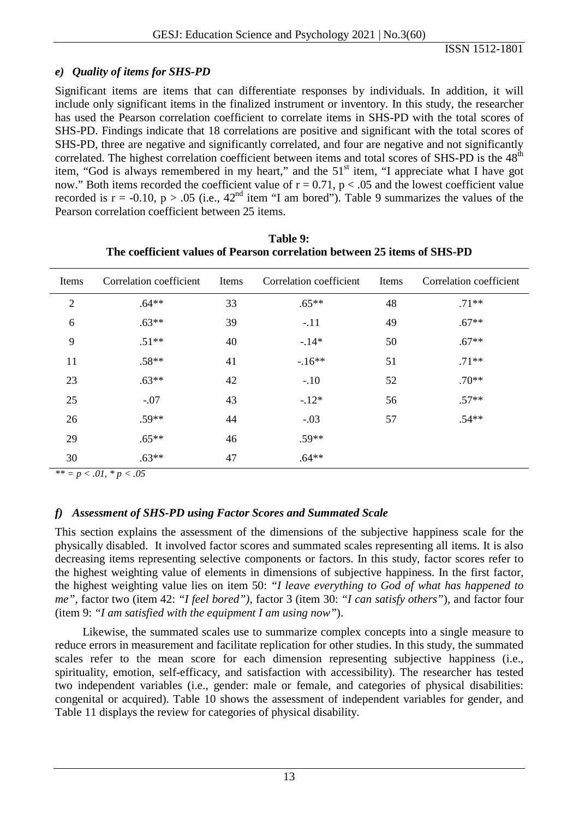# *e) Quality of items for SHS-PD*

Significant items are items that can differentiate responses by individuals. In addition, it will include only significant items in the finalized instrument or inventory. In this study, the researcher has used the Pearson correlation coefficient to correlate items in SHS-PD with the total scores of SHS-PD. Findings indicate that 18 correlations are positive and significant with the total scores of SHS-PD, three are negative and significantly correlated, and four are negative and not significantly correlated. The highest correlation coefficient between items and total scores of SHS-PD is the 48<sup>th</sup> item, "God is always remembered in my heart," and the  $51<sup>st</sup>$  item, "I appreciate what I have got now." Both items recorded the coefficient value of  $r = 0.71$ ,  $p < .05$  and the lowest coefficient value recorded is  $r = -0.10$ ,  $p > .05$  (i.e.,  $42<sup>nd</sup>$  item "I am bored"). Table 9 summarizes the values of the Pearson correlation coefficient between 25 items.

| Items            | Correlation coefficient | Items | Correlation coefficient | Items | Correlation coefficient |
|------------------|-------------------------|-------|-------------------------|-------|-------------------------|
| $\overline{2}$   | $.64**$                 | 33    | $.65**$                 | 48    | $.71**$                 |
| $\boldsymbol{6}$ | $.63**$                 | 39    | $-.11$                  | 49    | $.67**$                 |
| 9                | $.51**$                 | 40    | $-.14*$                 | 50    | $.67**$                 |
| 11               | $.58**$                 | 41    | $-.16**$                | 51    | $.71**$                 |
| 23               | $.63**$                 | 42    | $-.10$                  | 52    | $.70**$                 |
| 25               | $-.07$                  | 43    | $-.12*$                 | 56    | $.57**$                 |
| 26               | $.59**$                 | 44    | $-.03$                  | 57    | $.54**$                 |
| 29               | $.65**$                 | 46    | $.59**$                 |       |                         |
| 30               | $.63**$                 | 47    | $.64**$                 |       |                         |

**Table 9: The coefficient values of Pearson correlation between 25 items of SHS-PD**

 $*$   $*$  =  $p$  < .01,  $*$   $p$  < .05

# *f) Assessment of SHS-PD using Factor Scores and Summated Scale*

This section explains the assessment of the dimensions of the subjective happiness scale for the physically disabled. It involved factor scores and summated scales representing all items. It is also decreasing items representing selective components or factors. In this study, factor scores refer to the highest weighting value of elements in dimensions of subjective happiness. In the first factor, the highest weighting value lies on item 50: *"I leave everything to God of what has happened to me"*, factor two (item 42: *"I feel bored"),* factor 3 (item 30: *"I can satisfy others"*), and factor four (item 9: *"I am satisfied with the equipment I am using now"*).

Likewise, the summated scales use to summarize complex concepts into a single measure to reduce errors in measurement and facilitate replication for other studies. In this study, the summated scales refer to the mean score for each dimension representing subjective happiness (i.e., spirituality, emotion, self-efficacy, and satisfaction with accessibility). The researcher has tested two independent variables (i.e., gender: male or female, and categories of physical disabilities: congenital or acquired). Table 10 shows the assessment of independent variables for gender, and Table 11 displays the review for categories of physical disability.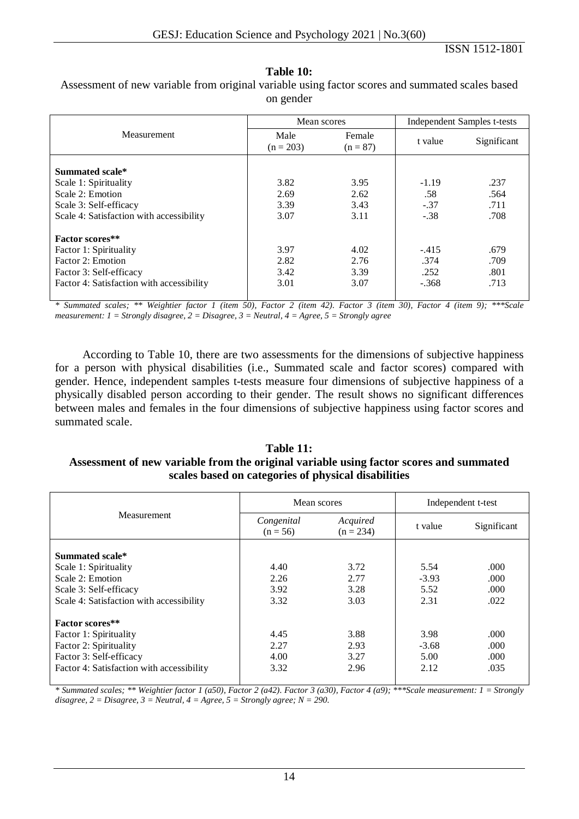#### **Table 10:**

Measurement Mean scores Independent Samples t-tests Male  $(n = 203)$ Female  $(n = 87)$  t value Significant **Summated scale\*** Scale 1: Spirituality 3.82 3.95 -1.19 .237 Scale 2: Emotion **2.69** 2.62 **2.62** .58 .564 Scale 3: Self-efficacy 1 .3.39 3.43 -.37 .711 Scale 4: Satisfaction with accessibility  $3.07$   $3.11$   $-38$   $.708$ **Factor scores\*\*** Factor 1: Spirituality 1.679 1.02 4.02 -.415 .679 Factor 2: Emotion 2.82 2.76 .374 .709 Factor 3: Self-efficacy 1 252 .801 Factor 4: Satisfaction with accessibility  $3.01$   $3.07$   $-368$   $.713$ 

Assessment of new variable from original variable using factor scores and summated scales based on gender

*\* Summated scales; \*\* Weightier factor 1 (item 50), Factor 2 (item 42). Factor 3 (item 30), Factor 4 (item 9); \*\*\*Scale measurement: 1 = Strongly disagree, 2 = Disagree, 3 = Neutral, 4 = Agree, 5 = Strongly agree*

According to Table 10, there are two assessments for the dimensions of subjective happiness for a person with physical disabilities (i.e., Summated scale and factor scores) compared with gender. Hence, independent samples t-tests measure four dimensions of subjective happiness of a physically disabled person according to their gender. The result shows no significant differences between males and females in the four dimensions of subjective happiness using factor scores and summated scale.

#### **Table 11: Assessment of new variable from the original variable using factor scores and summated scales based on categories of physical disabilities**

|                                           | Mean scores              |                         | Independent t-test |             |  |
|-------------------------------------------|--------------------------|-------------------------|--------------------|-------------|--|
| Measurement                               | Congenital<br>$(n = 56)$ | Acquired<br>$(n = 234)$ | t value            | Significant |  |
| Summated scale*                           |                          |                         |                    |             |  |
| Scale 1: Spirituality                     | 4.40                     | 3.72                    | 5.54               | .000        |  |
| Scale 2: Emotion                          | 2.26                     | 2.77                    | $-3.93$            | .000        |  |
| Scale 3: Self-efficacy                    | 3.92                     | 3.28                    | 5.52               | .000        |  |
| Scale 4: Satisfaction with accessibility  | 3.32                     | 3.03                    | 2.31               | .022        |  |
| <b>Factor scores**</b>                    |                          |                         |                    |             |  |
| Factor 1: Spirituality                    | 4.45                     | 3.88                    | 3.98               | .000        |  |
| Factor 2: Spirituality                    | 2.27                     | 2.93                    | $-3.68$            | .000.       |  |
| Factor 3: Self-efficacy                   | 4.00                     | 3.27                    | 5.00               | .000        |  |
| Factor 4: Satisfaction with accessibility | 3.32                     | 2.96                    | 2.12               | .035        |  |

*\* Summated scales; \*\* Weightier factor 1 (a50), Factor 2 (a42). Factor 3 (a30), Factor 4 (a9); \*\*\*Scale measurement: 1 = Strongly disagree, 2 = Disagree, 3 = Neutral, 4 = Agree, 5 = Strongly agree; N = 290.*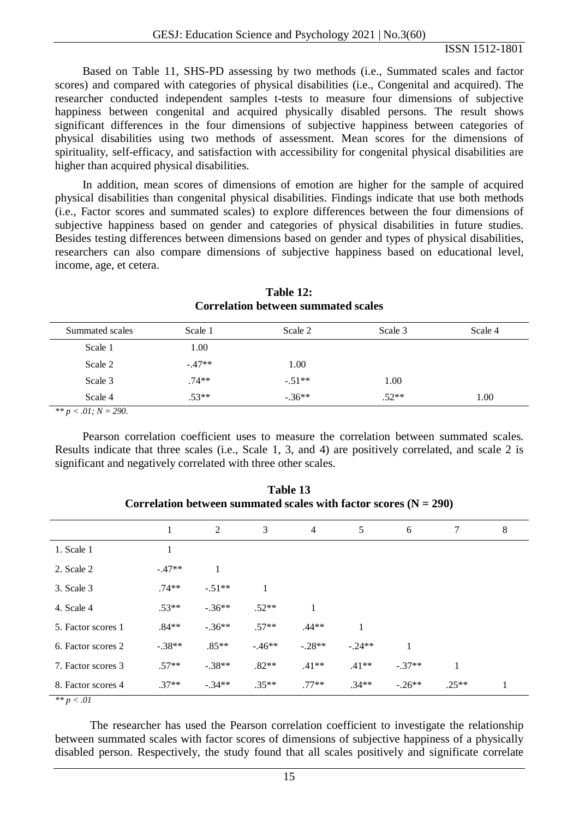Based on Table 11, SHS-PD assessing by two methods (i.e., Summated scales and factor scores) and compared with categories of physical disabilities (i.e., Congenital and acquired). The researcher conducted independent samples t-tests to measure four dimensions of subjective happiness between congenital and acquired physically disabled persons. The result shows significant differences in the four dimensions of subjective happiness between categories of physical disabilities using two methods of assessment. Mean scores for the dimensions of spirituality, self-efficacy, and satisfaction with accessibility for congenital physical disabilities are higher than acquired physical disabilities.

In addition, mean scores of dimensions of emotion are higher for the sample of acquired physical disabilities than congenital physical disabilities. Findings indicate that use both methods (i.e., Factor scores and summated scales) to explore differences between the four dimensions of subjective happiness based on gender and categories of physical disabilities in future studies. Besides testing differences between dimensions based on gender and types of physical disabilities, researchers can also compare dimensions of subjective happiness based on educational level, income, age, et cetera.

| Summated scales | Scale 1  | Scale 2  | Scale 3 | Scale 4 |
|-----------------|----------|----------|---------|---------|
| Scale 1         | 1.00     |          |         |         |
| Scale 2         | $-.47**$ | 1.00     |         |         |
| Scale 3         | $.74**$  | $-.51**$ | 1.00    |         |
| Scale 4         | $.53**$  | $-.36**$ | $.52**$ | 1.00    |

**Table 12: Correlation between summated scales**

*\*\* p < .01; N = 290.*

Pearson correlation coefficient uses to measure the correlation between summated scales. Results indicate that three scales (i.e., Scale 1, 3, and 4) are positively correlated, and scale 2 is significant and negatively correlated with three other scales.

|                    | 1        | $\mathbf{2}$ | 3       | $\overline{4}$ | 5        | 6        | 7       | 8 |
|--------------------|----------|--------------|---------|----------------|----------|----------|---------|---|
| 1. Scale 1         |          |              |         |                |          |          |         |   |
| 2. Scale 2         | $-.47**$ | 1            |         |                |          |          |         |   |
| 3. Scale 3         | $.74**$  | $-.51**$     | 1       |                |          |          |         |   |
| 4. Scale 4         | $.53**$  | $-.36**$     | $.52**$ | 1              |          |          |         |   |
| 5. Factor scores 1 | $.84**$  | $-.36**$     | $.57**$ | $.44**$        | 1        |          |         |   |
| 6. Factor scores 2 | $-.38**$ | $.85**$      | $-46**$ | $-.28**$       | $-.24**$ | 1        |         |   |
| 7. Factor scores 3 | $.57**$  | $-.38**$     | $.82**$ | $.41**$        | $.41**$  | $-37**$  | 1       |   |
| 8. Factor scores 4 | $.37**$  | $-.34**$     | $.35**$ | $.77**$        | $.34**$  | $-.26**$ | $.25**$ |   |

**Table 13 Correlation between summated scales with factor scores (N = 290)**

*\*\* p < .01*

The researcher has used the Pearson correlation coefficient to investigate the relationship between summated scales with factor scores of dimensions of subjective happiness of a physically disabled person. Respectively, the study found that all scales positively and significate correlate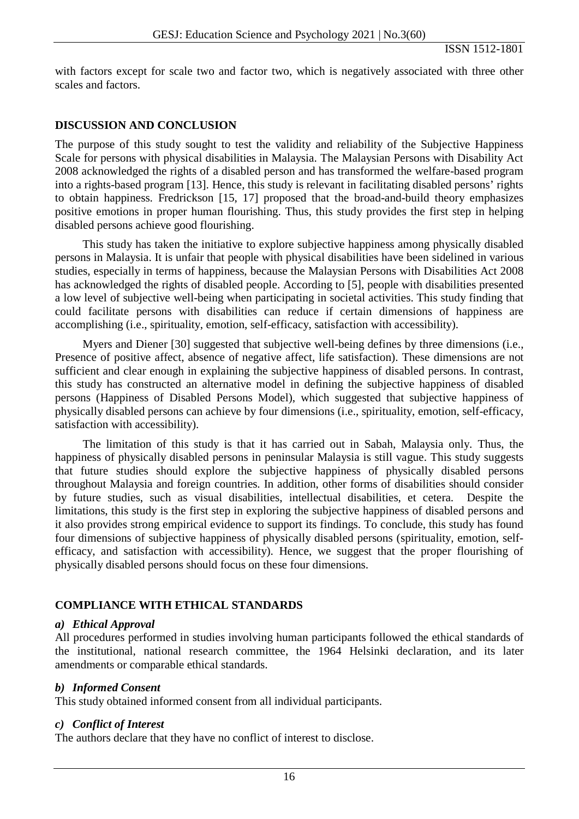with factors except for scale two and factor two, which is negatively associated with three other scales and factors.

# **DISCUSSION AND CONCLUSION**

The purpose of this study sought to test the validity and reliability of the Subjective Happiness Scale for persons with physical disabilities in Malaysia. The Malaysian Persons with Disability Act 2008 acknowledged the rights of a disabled person and has transformed the welfare-based program into a rights-based program [13]. Hence, this study is relevant in facilitating disabled persons' rights to obtain happiness. Fredrickson [15, 17] proposed that the broad-and-build theory emphasizes positive emotions in proper human flourishing. Thus, this study provides the first step in helping disabled persons achieve good flourishing.

This study has taken the initiative to explore subjective happiness among physically disabled persons in Malaysia. It is unfair that people with physical disabilities have been sidelined in various studies, especially in terms of happiness, because the Malaysian Persons with Disabilities Act 2008 has acknowledged the rights of disabled people. According to [5], people with disabilities presented a low level of subjective well-being when participating in societal activities. This study finding that could facilitate persons with disabilities can reduce if certain dimensions of happiness are accomplishing (i.e., spirituality, emotion, self-efficacy, satisfaction with accessibility).

Myers and Diener [30] suggested that subjective well-being defines by three dimensions (i.e., Presence of positive affect, absence of negative affect, life satisfaction). These dimensions are not sufficient and clear enough in explaining the subjective happiness of disabled persons. In contrast, this study has constructed an alternative model in defining the subjective happiness of disabled persons (Happiness of Disabled Persons Model), which suggested that subjective happiness of physically disabled persons can achieve by four dimensions (i.e., spirituality, emotion, self-efficacy, satisfaction with accessibility).

The limitation of this study is that it has carried out in Sabah, Malaysia only. Thus, the happiness of physically disabled persons in peninsular Malaysia is still vague. This study suggests that future studies should explore the subjective happiness of physically disabled persons throughout Malaysia and foreign countries. In addition, other forms of disabilities should consider by future studies, such as visual disabilities, intellectual disabilities, et cetera. Despite the limitations, this study is the first step in exploring the subjective happiness of disabled persons and it also provides strong empirical evidence to support its findings. To conclude, this study has found four dimensions of subjective happiness of physically disabled persons (spirituality, emotion, selfefficacy, and satisfaction with accessibility). Hence, we suggest that the proper flourishing of physically disabled persons should focus on these four dimensions.

# **COMPLIANCE WITH ETHICAL STANDARDS**

## *a) Ethical Approval*

All procedures performed in studies involving human participants followed the ethical standards of the institutional, national research committee, the 1964 Helsinki declaration, and its later amendments or comparable ethical standards.

# *b) Informed Consent*

This study obtained informed consent from all individual participants.

## *c) Conflict of Interest*

The authors declare that they have no conflict of interest to disclose.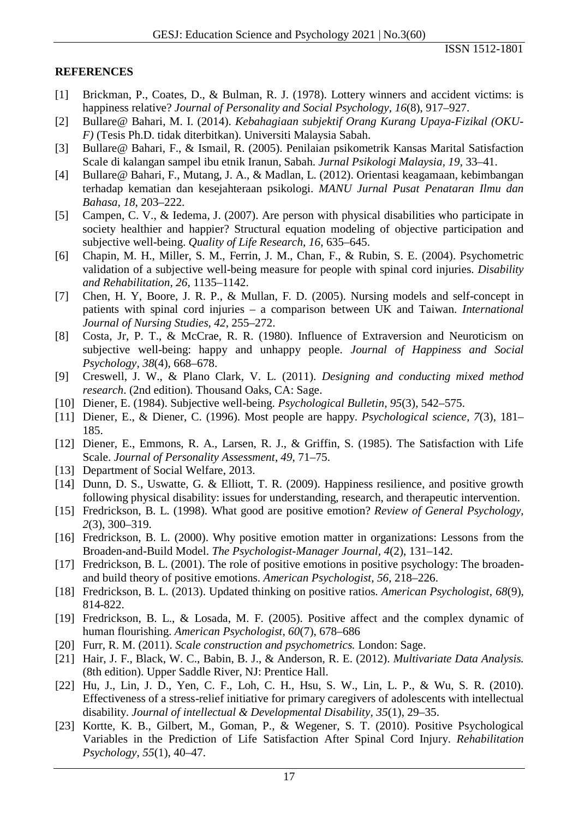# **REFERENCES**

- [1] Brickman, P., Coates, D., & Bulman, R. J. (1978). Lottery winners and accident victims: is happiness relative? *Journal of Personality and Social Psychology, 16*(8), 917–927.
- [2] Bullare@ Bahari, M. I. (2014). *Kebahagiaan subjektif Orang Kurang Upaya-Fizikal (OKU-F)* (Tesis Ph.D. tidak diterbitkan). Universiti Malaysia Sabah.
- [3] Bullare@ Bahari, F., & Ismail, R. (2005). Penilaian psikometrik Kansas Marital Satisfaction Scale di kalangan sampel ibu etnik Iranun, Sabah. *Jurnal Psikologi Malaysia, 19*, 33–41.
- [4] Bullare@ Bahari, F., Mutang, J. A., & Madlan, L. (2012). Orientasi keagamaan, kebimbangan terhadap kematian dan kesejahteraan psikologi. *MANU Jurnal Pusat Penataran Ilmu dan Bahasa, 18*, 203–222.
- [5] Campen, C. V., & Iedema, J. (2007). Are person with physical disabilities who participate in society healthier and happier? Structural equation modeling of objective participation and subjective well-being. *Quality of Life Research, 16*, 635–645.
- [6] Chapin, M. H., Miller, S. M., Ferrin, J. M., Chan, F., & Rubin, S. E. (2004). Psychometric validation of a subjective well-being measure for people with spinal cord injuries. *Disability and Rehabilitation, 26*, 1135–1142.
- [7] Chen, H. Y, Boore, J. R. P., & Mullan, F. D. (2005). Nursing models and self-concept in patients with spinal cord injuries – a comparison between UK and Taiwan. *International Journal of Nursing Studies, 42*, 255–272.
- [8] Costa, Jr, P. T., & McCrae, R. R. (1980). Influence of Extraversion and Neuroticism on subjective well-being: happy and unhappy people. *Journal of Happiness and Social Psychology, 38*(4), 668–678.
- [9] Creswell, J. W., & Plano Clark, V. L. (2011). *Designing and conducting mixed method research*. (2nd edition)*.* Thousand Oaks, CA: Sage.
- [10] Diener, E. (1984). Subjective well-being. *Psychological Bulletin, 95*(3), 542–575.
- [11] Diener, E., & Diener, C. (1996). Most people are happy. *Psychological science, 7*(3), 181– 185.
- [12] Diener, E., Emmons, R. A., Larsen, R. J., & Griffin, S. (1985). The Satisfaction with Life Scale. *Journal of Personality Assessment*, *49*, 71–75.
- [13] Department of Social Welfare, 2013.
- [14] Dunn, D. S., Uswatte, G. & Elliott, T. R. (2009). Happiness resilience, and positive growth following physical disability: issues for understanding, research, and therapeutic intervention.
- [15] Fredrickson, B. L. (1998). What good are positive emotion? *Review of General Psychology, 2*(3), 300–319.
- [16] Fredrickson, B. L. (2000). Why positive emotion matter in organizations: Lessons from the Broaden-and-Build Model. *The Psychologist-Manager Journal, 4*(2), 131–142.
- [17] Fredrickson, B. L. (2001). The role of positive emotions in positive psychology: The broadenand build theory of positive emotions. *American Psychologist, 56*, 218–226.
- [18] Fredrickson, B. L. (2013). Updated thinking on positive ratios. *American Psychologist, 68*(9), 814-822.
- [19] Fredrickson, B. L., & Losada, M. F. (2005). Positive affect and the complex dynamic of human flourishing. *American Psychologist, 60*(7), 678–686
- [20] Furr, R. M. (2011). *Scale construction and psychometrics.* London: Sage.
- [21] Hair, J. F., Black, W. C., Babin, B. J., & Anderson, R. E. (2012). *Multivariate Data Analysis.* (8th edition). Upper Saddle River, NJ: Prentice Hall.
- [22] Hu, J., Lin, J. D., Yen, C. F., Loh, C. H., Hsu, S. W., Lin, L. P., & Wu, S. R. (2010). Effectiveness of a stress-relief initiative for primary caregivers of adolescents with intellectual disability. *Journal of intellectual & Developmental Disability, 35*(1), 29–35.
- [23] Kortte, K. B., Gilbert, M., Goman, P., & Wegener, S. T. (2010). Positive Psychological Variables in the Prediction of Life Satisfaction After Spinal Cord Injury. *Rehabilitation Psychology*, *55*(1), 40–47.